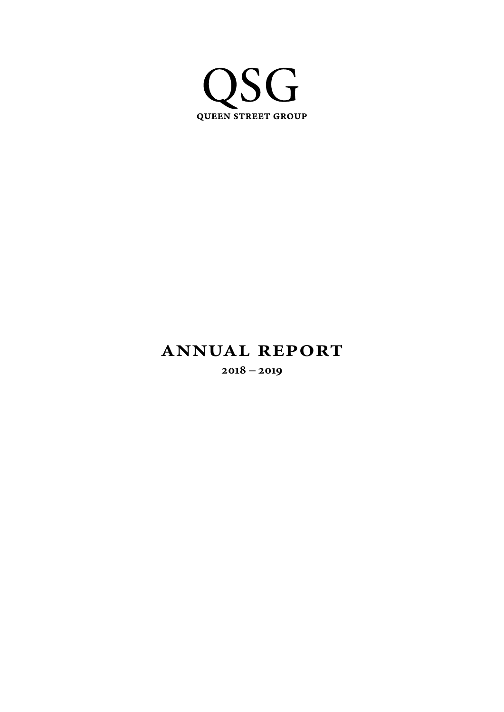

# **annual report**

**2018 – 2019**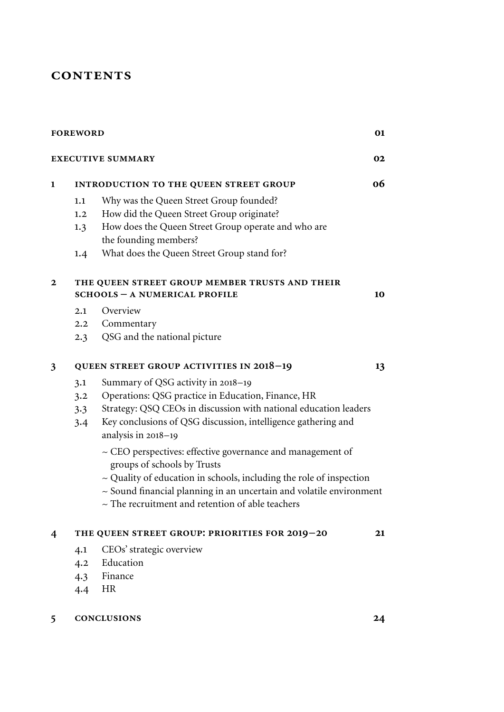# **contents**

| <b>FOREWORD</b><br>01 |                                                      |                                                                                                                                   |    |  |
|-----------------------|------------------------------------------------------|-----------------------------------------------------------------------------------------------------------------------------------|----|--|
|                       |                                                      | <b>EXECUTIVE SUMMARY</b>                                                                                                          | 02 |  |
| 1                     | 06<br>INTRODUCTION TO THE QUEEN STREET GROUP         |                                                                                                                                   |    |  |
|                       | 1.1                                                  | Why was the Queen Street Group founded?                                                                                           |    |  |
|                       | 1.2                                                  | How did the Queen Street Group originate?                                                                                         |    |  |
|                       | 1.3                                                  | How does the Queen Street Group operate and who are                                                                               |    |  |
|                       |                                                      | the founding members?                                                                                                             |    |  |
|                       | 1.4                                                  | What does the Queen Street Group stand for?                                                                                       |    |  |
| $\mathbf{2}$          |                                                      | THE QUEEN STREET GROUP MEMBER TRUSTS AND THEIR<br><b>SCHOOLS - A NUMERICAL PROFILE</b>                                            | 10 |  |
|                       | 2.1                                                  | Overview                                                                                                                          |    |  |
|                       |                                                      | 2.2 Commentary                                                                                                                    |    |  |
|                       | 2.3                                                  | QSG and the national picture                                                                                                      |    |  |
| 3                     |                                                      | QUEEN STREET GROUP ACTIVITIES IN 2018-19<br>13                                                                                    |    |  |
|                       | 3.1                                                  | Summary of QSG activity in 2018-19                                                                                                |    |  |
|                       | 3.2                                                  | Operations: QSG practice in Education, Finance, HR                                                                                |    |  |
|                       | 3.3                                                  | Strategy: QSQ CEOs in discussion with national education leaders                                                                  |    |  |
|                       | 3.4                                                  | Key conclusions of QSG discussion, intelligence gathering and<br>analysis in $2018 - 19$                                          |    |  |
|                       |                                                      | $\sim$ CEO perspectives: effective governance and management of<br>groups of schools by Trusts                                    |    |  |
|                       |                                                      | $\sim$ Quality of education in schools, including the role of inspection                                                          |    |  |
|                       |                                                      | $\sim$ Sound financial planning in an uncertain and volatile environment<br>$\sim$ The recruitment and retention of able teachers |    |  |
| 4                     | THE QUEEN STREET GROUP: PRIORITIES FOR 2019-20<br>21 |                                                                                                                                   |    |  |
|                       | 4.1                                                  | CEOs' strategic overview                                                                                                          |    |  |
|                       | 4.2                                                  | Education                                                                                                                         |    |  |
|                       | 4.3                                                  | Finance                                                                                                                           |    |  |
|                       | 4.4                                                  | <b>HR</b>                                                                                                                         |    |  |
|                       |                                                      |                                                                                                                                   |    |  |

**5 conclusions 24**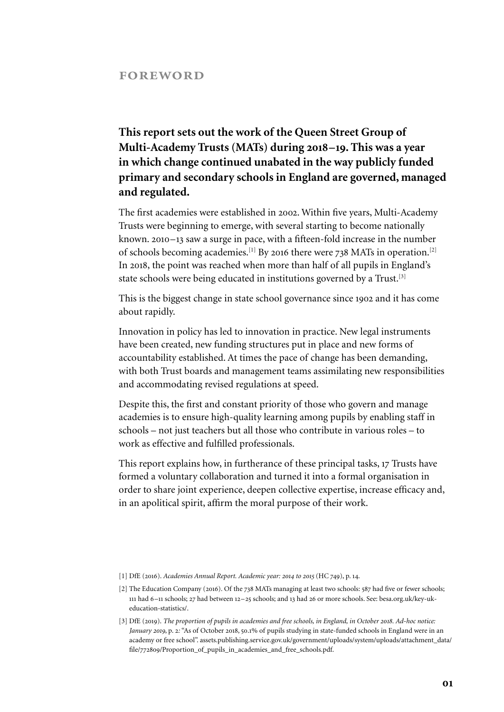**This report sets out the work of the Queen Street Group of Multi-Academy Trusts (MATs) during 2018–19. This was a year in which change continued unabated in the way publicly funded primary and secondary schools in England are governed, managed and regulated.**

The first academies were established in 2002. Within five years, Multi-Academy Trusts were beginning to emerge, with several starting to become nationally known. 2010–13 saw a surge in pace, with a fifteen-fold increase in the number of schools becoming academies.[1] By 2016 there were 738 MATs in operation.[2] In 2018, the point was reached when more than half of all pupils in England's state schools were being educated in institutions governed by a Trust.[3]

This is the biggest change in state school governance since 1902 and it has come about rapidly.

Innovation in policy has led to innovation in practice. New legal instruments have been created, new funding structures put in place and new forms of accountability established. At times the pace of change has been demanding, with both Trust boards and management teams assimilating new responsibilities and accommodating revised regulations at speed.

Despite this, the first and constant priority of those who govern and manage academies is to ensure high-quality learning among pupils by enabling staff in schools – not just teachers but all those who contribute in various roles – to work as effective and fulfilled professionals.

This report explains how, in furtherance of these principal tasks, 17 Trusts have formed a voluntary collaboration and turned it into a formal organisation in order to share joint experience, deepen collective expertise, increase efficacy and, in an apolitical spirit, affirm the moral purpose of their work.

<sup>[1]</sup> DfE (2016). *Academies Annual Report. Academic year: 2014 to 2015* (HC 749), p. 14.

<sup>[2]</sup> The Education Company (2016)*.* Of the 738 MATs managing at least two schools: 587 had five or fewer schools; 111 had 6–11 schools; 27 had between 12–25 schools; and 13 had 26 or more schools. See: [besa.org.uk/key-uk](https://www.besa.org.uk/key-uk-education-statistics/)[education-statistics/](https://www.besa.org.uk/key-uk-education-statistics/).

<sup>[3]</sup> DfE (2019). *The proportion of pupils in academies and free schools, in England, in October 2018. Ad-hoc notice: January 2019*, p. 2*:* "As of October 2018, 50.1% of pupils studying in state-funded schools in England were in an academy or free school". [assets.publishing.service.gov.uk/government/uploads/system/uploads/attachment\\_data/](https://assets.publishing.service.gov.uk/government/uploads/system/uploads/attachment_data/file/772809/Proportion_of_pupils_in_academies_and_free_schools.pdf) file/772809[/Proportion\\_of\\_pupils\\_in\\_academies\\_and\\_free\\_schools.pdf.](https://assets.publishing.service.gov.uk/government/uploads/system/uploads/attachment_data/file/772809/Proportion_of_pupils_in_academies_and_free_schools.pdf)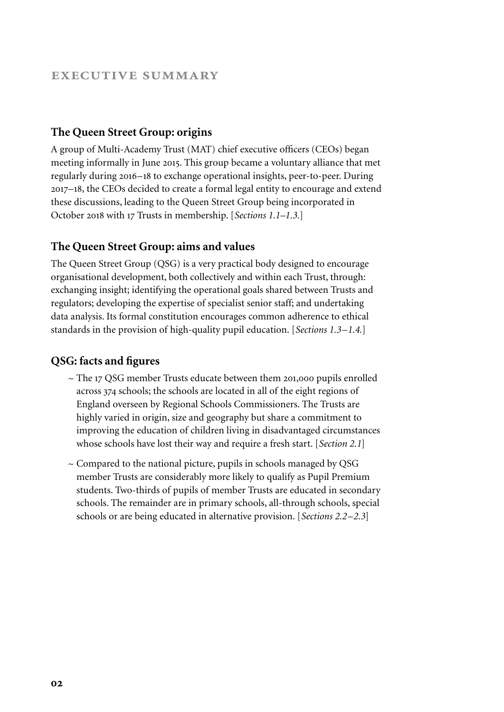# **executive summary**

## **The Queen Street Group: origins**

A group of Multi-Academy Trust (MAT) chief executive officers (CEOs) began meeting informally in June 2015. This group became a voluntary alliance that met regularly during 2016–18 to exchange operational insights, peer-to-peer. During 2017–18, the CEOs decided to create a formal legal entity to encourage and extend these discussions, leading to the Queen Street Group being incorporated in October 2018 with 17 Trusts in membership. [*Sections 1.1–1.3.*]

## **The Queen Street Group: aims and values**

The Queen Street Group (QSG) is a very practical body designed to encourage organisational development, both collectively and within each Trust, through: exchanging insight; identifying the operational goals shared between Trusts and regulators; developing the expertise of specialist senior staff; and undertaking data analysis. Its formal constitution encourages common adherence to ethical standards in the provision of high-quality pupil education. [*Sections 1.3–1.4.*]

## **QSG: facts and figures**

- $\sim$  The 17 QSG member Trusts educate between them 201,000 pupils enrolled across 374 schools; the schools are located in all of the eight regions of England overseen by Regional Schools Commissioners. The Trusts are highly varied in origin, size and geography but share a commitment to improving the education of children living in disadvantaged circumstances whose schools have lost their way and require a fresh start. [*Section 2.1*]
- $\sim$  Compared to the national picture, pupils in schools managed by QSG member Trusts are considerably more likely to qualify as Pupil Premium students. Two-thirds of pupils of member Trusts are educated in secondary schools. The remainder are in primary schools, all-through schools, special schools or are being educated in alternative provision. [*Sections 2.2–2.3*]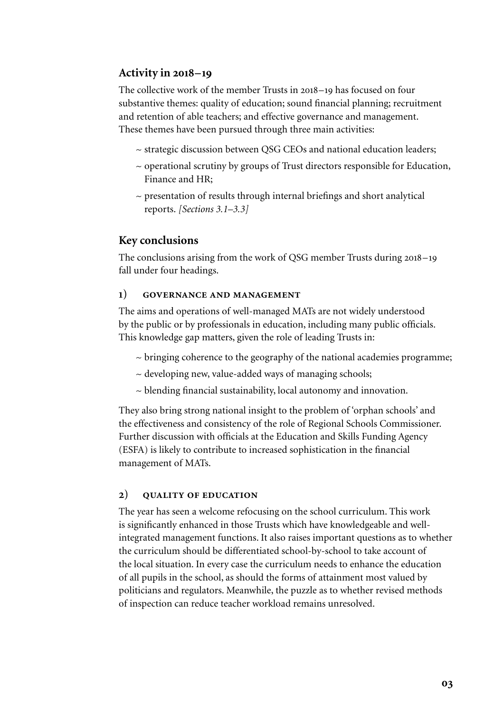# **Activity in 2018–19**

The collective work of the member Trusts in 2018–19 has focused on four substantive themes: quality of education; sound financial planning; recruitment and retention of able teachers; and effective governance and management. These themes have been pursued through three main activities:

- ~ strategic discussion between QSG CEOs and national education leaders;
- ~ operational scrutiny by groups of Trust directors responsible for Education, Finance and HR;
- $\sim$  presentation of results through internal briefings and short analytical reports. *[Sections 3.1–3.3]*

# **Key conclusions**

The conclusions arising from the work of QSG member Trusts during 2018–19 fall under four headings.

### **1) governance and management**

The aims and operations of well-managed MATs are not widely understood by the public or by professionals in education, including many public officials. This knowledge gap matters, given the role of leading Trusts in:

- $\sim$  bringing coherence to the geography of the national academies programme;
- $\sim$  developing new, value-added ways of managing schools;
- $\sim$  blending financial sustainability, local autonomy and innovation.

They also bring strong national insight to the problem of 'orphan schools' and the effectiveness and consistency of the role of Regional Schools Commissioner. Further discussion with officials at the Education and Skills Funding Agency (ESFA) is likely to contribute to increased sophistication in the financial management of MATs.

## **2) quality of education**

The year has seen a welcome refocusing on the school curriculum. This work is significantly enhanced in those Trusts which have knowledgeable and wellintegrated management functions. It also raises important questions as to whether the curriculum should be differentiated school-by-school to take account of the local situation. In every case the curriculum needs to enhance the education of all pupils in the school, as should the forms of attainment most valued by politicians and regulators. Meanwhile, the puzzle as to whether revised methods of inspection can reduce teacher workload remains unresolved.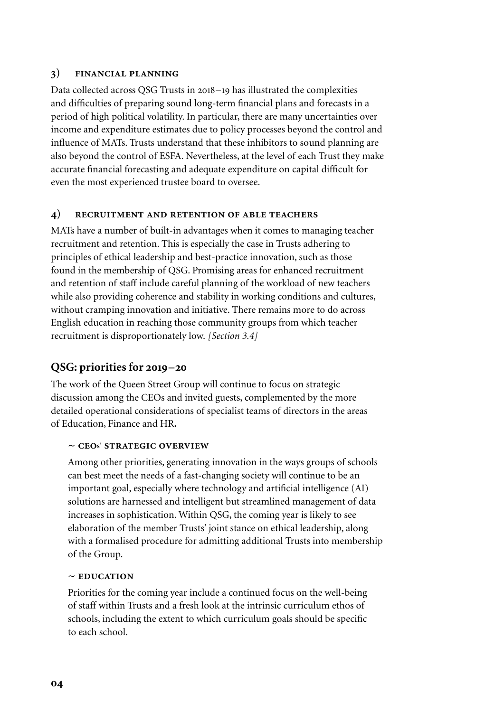### **3) financial planning**

Data collected across QSG Trusts in 2018–19 has illustrated the complexities and difficulties of preparing sound long-term financial plans and forecasts in a period of high political volatility. In particular, there are many uncertainties over income and expenditure estimates due to policy processes beyond the control and influence of MATs. Trusts understand that these inhibitors to sound planning are also beyond the control of ESFA. Nevertheless, at the level of each Trust they make accurate financial forecasting and adequate expenditure on capital difficult for even the most experienced trustee board to oversee.

#### **4) recruitment and retention of able teachers**

MATs have a number of built-in advantages when it comes to managing teacher recruitment and retention. This is especially the case in Trusts adhering to principles of ethical leadership and best-practice innovation, such as those found in the membership of QSG. Promising areas for enhanced recruitment and retention of staff include careful planning of the workload of new teachers while also providing coherence and stability in working conditions and cultures, without cramping innovation and initiative. There remains more to do across English education in reaching those community groups from which teacher recruitment is disproportionately low. *[Section 3.4]*

# **QSG: priorities for 2019–20**

The work of the Queen Street Group will continue to focus on strategic discussion among the CEOs and invited guests, complemented by the more detailed operational considerations of specialist teams of directors in the areas of Education, Finance and HR**.**

#### **~ ceos' strategic overview**

Among other priorities, generating innovation in the ways groups of schools can best meet the needs of a fast-changing society will continue to be an important goal, especially where technology and artificial intelligence (AI) solutions are harnessed and intelligent but streamlined management of data increases in sophistication. Within QSG, the coming year is likely to see elaboration of the member Trusts' joint stance on ethical leadership, along with a formalised procedure for admitting additional Trusts into membership of the Group.

#### **~ education**

Priorities for the coming year include a continued focus on the well-being of staff within Trusts and a fresh look at the intrinsic curriculum ethos of schools, including the extent to which curriculum goals should be specific to each school.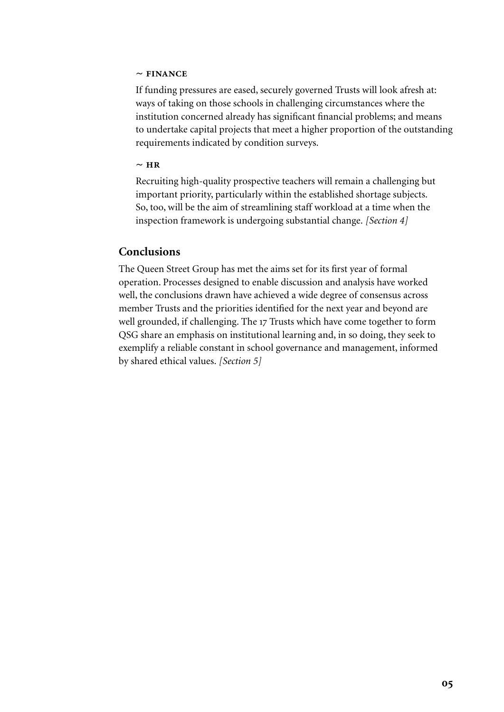#### **~ finance**

If funding pressures are eased, securely governed Trusts will look afresh at: ways of taking on those schools in challenging circumstances where the institution concerned already has significant financial problems; and means to undertake capital projects that meet a higher proportion of the outstanding requirements indicated by condition surveys.

#### $\sim$ **HR**

Recruiting high-quality prospective teachers will remain a challenging but important priority, particularly within the established shortage subjects. So, too, will be the aim of streamlining staff workload at a time when the inspection framework is undergoing substantial change. *[Section 4]*

## **Conclusions**

The Queen Street Group has met the aims set for its first year of formal operation. Processes designed to enable discussion and analysis have worked well, the conclusions drawn have achieved a wide degree of consensus across member Trusts and the priorities identified for the next year and beyond are well grounded, if challenging. The 17 Trusts which have come together to form QSG share an emphasis on institutional learning and, in so doing, they seek to exemplify a reliable constant in school governance and management, informed by shared ethical values. *[Section 5]*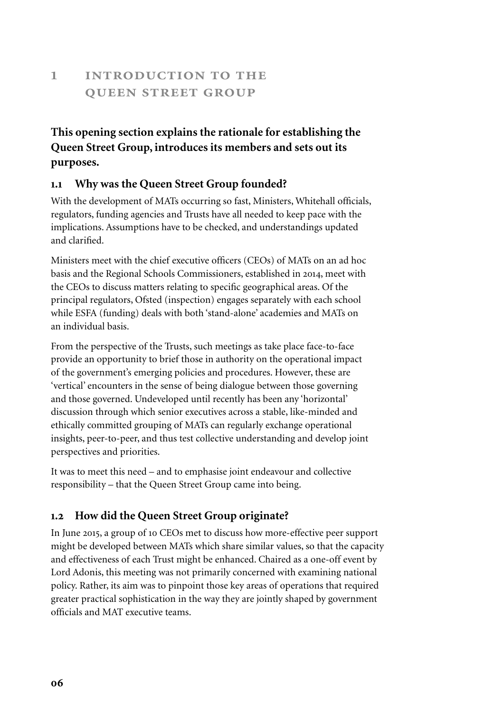#### **introduction to the queen street group 1**

# **This opening section explains the rationale for establishing the Queen Street Group, introduces its members and sets out its purposes.**

# **1.1 Why was the Queen Street Group founded?**

With the development of MATs occurring so fast, Ministers, Whitehall officials, regulators, funding agencies and Trusts have all needed to keep pace with the implications. Assumptions have to be checked, and understandings updated and clarified.

Ministers meet with the chief executive officers (CEOs) of MATs on an ad hoc basis and the Regional Schools Commissioners, established in 2014, meet with the CEOs to discuss matters relating to specific geographical areas. Of the principal regulators, Ofsted (inspection) engages separately with each school while ESFA (funding) deals with both 'stand-alone' academies and MATs on an individual basis.

From the perspective of the Trusts, such meetings as take place face-to-face provide an opportunity to brief those in authority on the operational impact of the government's emerging policies and procedures. However, these are 'vertical' encounters in the sense of being dialogue between those governing and those governed. Undeveloped until recently has been any 'horizontal' discussion through which senior executives across a stable, like-minded and ethically committed grouping of MATs can regularly exchange operational insights, peer-to-peer, and thus test collective understanding and develop joint perspectives and priorities.

It was to meet this need – and to emphasise joint endeavour and collective responsibility – that the Queen Street Group came into being.

# **1.2 How did the Queen Street Group originate?**

In June 2015, a group of 10 CEOs met to discuss how more-effective peer support might be developed between MATs which share similar values, so that the capacity and effectiveness of each Trust might be enhanced. Chaired as a one-off event by Lord Adonis, this meeting was not primarily concerned with examining national policy. Rather, its aim was to pinpoint those key areas of operations that required greater practical sophistication in the way they are jointly shaped by government officials and MAT executive teams.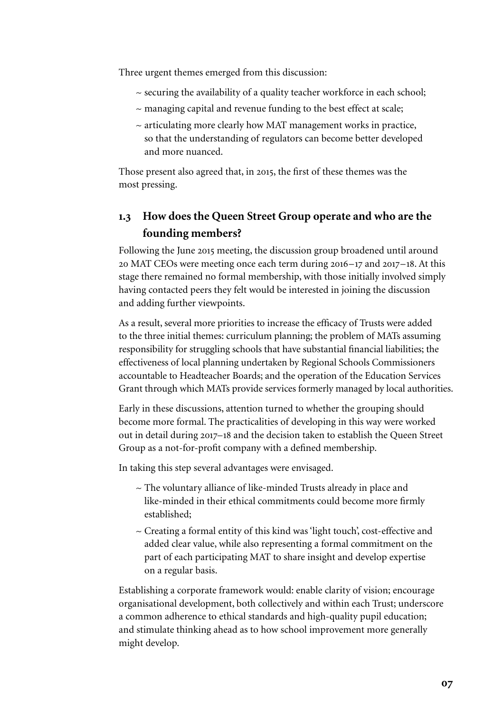Three urgent themes emerged from this discussion:

- $\sim$  securing the availability of a quality teacher workforce in each school;
- $\sim$  managing capital and revenue funding to the best effect at scale;
- $\sim$  articulating more clearly how MAT management works in practice, so that the understanding of regulators can become better developed and more nuanced.

Those present also agreed that, in 2015, the first of these themes was the most pressing.

# **1.3 How does the Queen Street Group operate and who are the founding members?**

Following the June 2015 meeting, the discussion group broadened until around 20 MAT CEOs were meeting once each term during 2016–17 and 2017–18. At this stage there remained no formal membership, with those initially involved simply having contacted peers they felt would be interested in joining the discussion and adding further viewpoints.

As a result, several more priorities to increase the efficacy of Trusts were added to the three initial themes: curriculum planning; the problem of MATs assuming responsibility for struggling schools that have substantial financial liabilities; the effectiveness of local planning undertaken by Regional Schools Commissioners accountable to Headteacher Boards; and the operation of the Education Services Grant through which MATs provide services formerly managed by local authorities.

Early in these discussions, attention turned to whether the grouping should become more formal. The practicalities of developing in this way were worked out in detail during 2017–18 and the decision taken to establish the Queen Street Group as a not-for-profit company with a defined membership.

In taking this step several advantages were envisaged.

- $\sim$  The voluntary alliance of like-minded Trusts already in place and like-minded in their ethical commitments could become more firmly established;
- $\sim$  Creating a formal entity of this kind was 'light touch', cost-effective and added clear value, while also representing a formal commitment on the part of each participating MAT to share insight and develop expertise on a regular basis.

Establishing a corporate framework would: enable clarity of vision; encourage organisational development, both collectively and within each Trust; underscore a common adherence to ethical standards and high-quality pupil education; and stimulate thinking ahead as to how school improvement more generally might develop.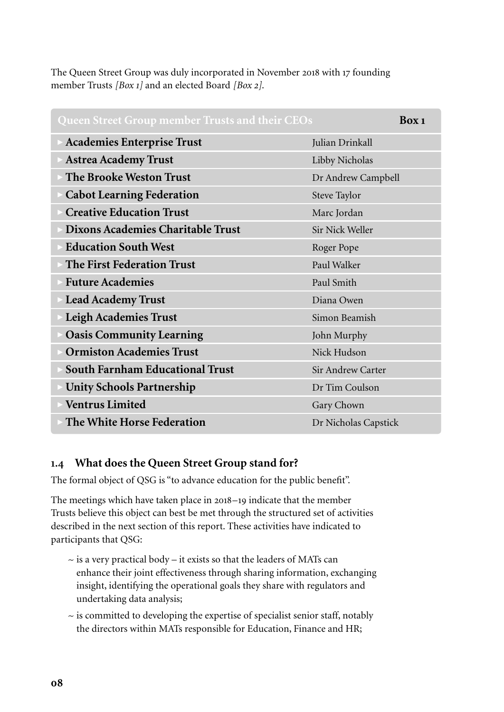The Queen Street Group was duly incorporated in November 2018 with 17 founding member Trusts *[Box 1]* and an elected Board *[Box 2]*.

| Queen Street Group member Trusts and their CEOs | Box 1                |
|-------------------------------------------------|----------------------|
| <b>Academies Enterprise Trust</b>               | Julian Drinkall      |
| <b>Astrea Academy Trust</b>                     | Libby Nicholas       |
| The Brooke Weston Trust                         | Dr Andrew Campbell   |
| <b>Cabot Learning Federation</b>                | Steve Taylor         |
| <b>Creative Education Trust</b>                 | Marc Jordan          |
| Dixons Academies Charitable Trust               | Sir Nick Weller      |
| <b>Education South West</b>                     | Roger Pope           |
| The First Federation Trust                      | Paul Walker          |
| <b>Future Academies</b>                         | Paul Smith           |
| <b>Lead Academy Trust</b>                       | Diana Owen           |
| <b>Leigh Academies Trust</b>                    | Simon Beamish        |
| <b>Oasis Community Learning</b>                 | John Murphy          |
| <b>Ormiston Academies Trust</b>                 | Nick Hudson          |
| South Farnham Educational Trust                 | Sir Andrew Carter    |
| <b>Unity Schools Partnership</b>                | Dr Tim Coulson       |
| <b>Ventrus Limited</b>                          | Gary Chown           |
| The White Horse Federation                      | Dr Nicholas Capstick |

# **1.4 What does the Queen Street Group stand for?**

The formal object of QSG is "to advance education for the public benefit".

The meetings which have taken place in 2018–19 indicate that the member Trusts believe this object can best be met through the structured set of activities described in the next section of this report. These activities have indicated to participants that QSG:

- $\sim$  is a very practical body it exists so that the leaders of MATs can enhance their joint effectiveness through sharing information, exchanging insight, identifying the operational goals they share with regulators and undertaking data analysis;
- $\sim$  is committed to developing the expertise of specialist senior staff, notably the directors within MATs responsible for Education, Finance and HR;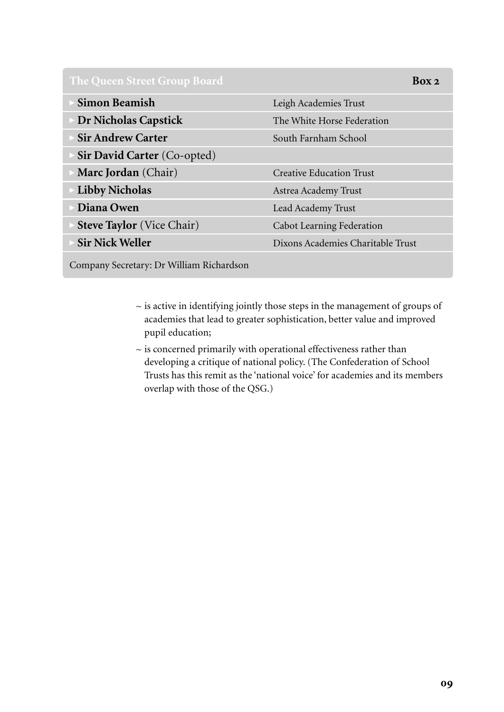# **The Queen Street Group Board Box 2 Box 2**

| Simon Beamish                      | Leigh Academies Trust             |
|------------------------------------|-----------------------------------|
| <b>Dr Nicholas Capstick</b>        | The White Horse Federation        |
| <b>Sir Andrew Carter</b>           | South Farnham School              |
| <b>Sir David Carter</b> (Co-opted) |                                   |
| Marc Jordan (Chair)                | <b>Creative Education Trust</b>   |
| ► Libby Nicholas                   | Astrea Academy Trust              |
| - Diana Owen                       | Lead Academy Trust                |
| <b>Steve Taylor</b> (Vice Chair)   | Cabot Learning Federation         |
| <b>Sir Nick Weller</b>             | Dixons Academies Charitable Trust |
|                                    |                                   |

Company Secretary: Dr William Richardson

- $\sim$  is active in identifying jointly those steps in the management of groups of academies that lead to greater sophistication, better value and improved pupil education;
- $\sim$  is concerned primarily with operational effectiveness rather than developing a critique of national policy. (The Confederation of School Trusts has this remit as the 'national voice' for academies and its members overlap with those of the QSG.)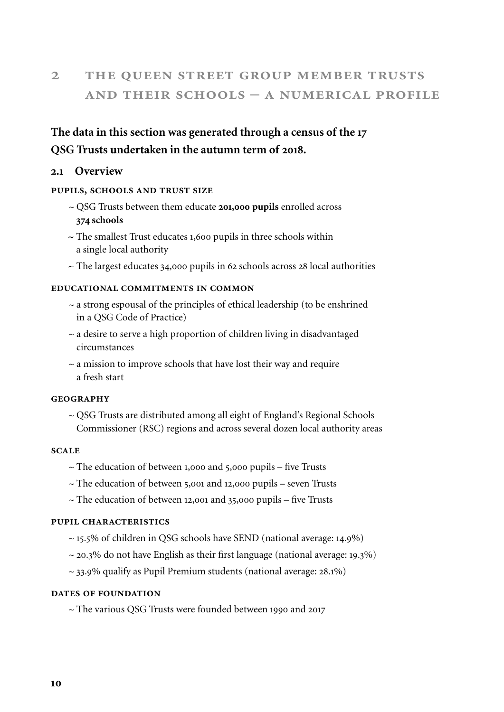#### **the queen street group member trusts and their schools – a numerical profile 2**

# **The data in this section was generated through a census of the 17 QSG Trusts undertaken in the autumn term of 2018.**

# **2.1 Overview**

### **pupils, schools and trust size**

- *~* QSG Trusts between them educate **201,000 pupils** enrolled across **374 schools**
- **~** The smallest Trust educates 1,600 pupils in three schools within a single local authority
- $\sim$  The largest educates 34,000 pupils in 62 schools across 28 local authorities

#### **educational commitments in common**

- *~* a strong espousal of the principles of ethical leadership (to be enshrined in a QSG Code of Practice)
- *~* a desire to serve a high proportion of children living in disadvantaged circumstances
- *~* a mission to improve schools that have lost their way and require a fresh start

### **geography**

*~* QSG Trusts are distributed among all eight of England's Regional Schools Commissioner (RSC) regions and across several dozen local authority areas

#### **scale**

- *~* The education of between 1,000 and 5,000 pupils five Trusts
- *~* The education of between 5,001 and 12,000 pupils seven Trusts
- *~* The education of between 12,001 and 35,000 pupils five Trusts

## **pupil characteristics**

- *~* 15.5% of children in QSG schools have SEND (national average: 14.9%)
- *~* 20.3% do not have English as their first language (national average: 19.3%)
- *~* 33.9% qualify as Pupil Premium students (national average: 28.1%)

### **dates of foundation**

*~* The various QSG Trusts were founded between 1990 and 2017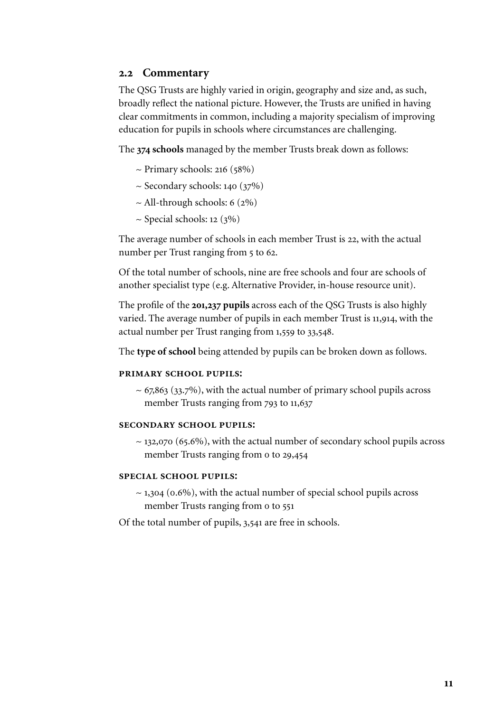## **2.2 Commentary**

The QSG Trusts are highly varied in origin, geography and size and, as such, broadly reflect the national picture. However, the Trusts are unified in having clear commitments in common, including a majority specialism of improving education for pupils in schools where circumstances are challenging.

The **374 schools** managed by the member Trusts break down as follows:

- $\sim$  Primary schools: 216 (58%)
- ~ Secondary schools: 140 (37%)
- $\sim$  All-through schools: 6 (2%)
- ~ Special schools: 12 (3%)

The average number of schools in each member Trust is 22, with the actual number per Trust ranging from 5 to 62.

Of the total number of schools, nine are free schools and four are schools of another specialist type (e.g. Alternative Provider, in-house resource unit).

The profile of the **201,237 pupils** across each of the QSG Trusts is also highly varied. The average number of pupils in each member Trust is 11,914, with the actual number per Trust ranging from 1,559 to 33,548.

The **type of school** being attended by pupils can be broken down as follows.

## **primary school pupils:**

 $\sim$  67,863 (33.7%), with the actual number of primary school pupils across member Trusts ranging from 793 to 11,637

#### **secondary school pupils:**

 $\sim$  132,070 (65.6%), with the actual number of secondary school pupils across member Trusts ranging from 0 to 29,454

#### **special school pupils:**

 $\sim$  1,304 (0.6%), with the actual number of special school pupils across member Trusts ranging from 0 to 551

Of the total number of pupils, 3,541 are free in schools.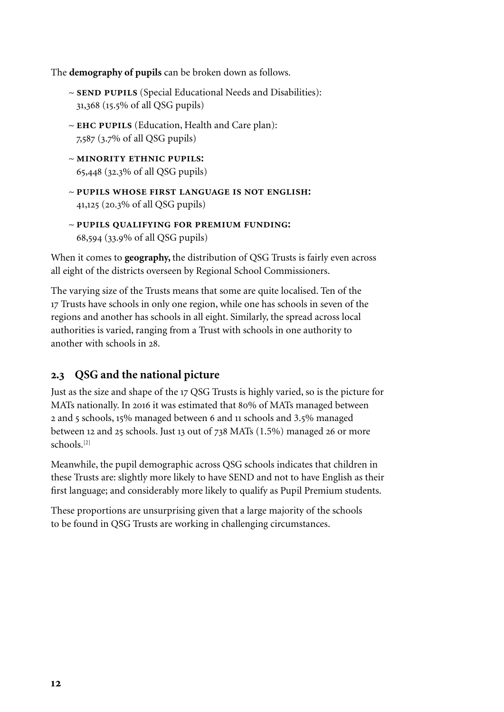The **demography of pupils** can be broken down as follows.

- *~* **send pupils** (Special Educational Needs and Disabilities): 31,368 (15.5% of all QSG pupils)
- *~* **ehc pupils** (Education, Health and Care plan): 7,587 (3.7% of all QSG pupils)
- *~* **minority ethnic pupils:**  65,448 (32.3% of all QSG pupils)
- *~* **pupils whose first language is not english:**  41,125 (20.3% of all QSG pupils)
- *~* **pupils qualifying for premium funding:**  68,594 (33.9% of all QSG pupils)

When it comes to **geography,** the distribution of QSG Trusts is fairly even across all eight of the districts overseen by Regional School Commissioners.

The varying size of the Trusts means that some are quite localised. Ten of the 17 Trusts have schools in only one region, while one has schools in seven of the regions and another has schools in all eight. Similarly, the spread across local authorities is varied, ranging from a Trust with schools in one authority to another with schools in 28.

# **2.3 QSG and the national picture**

Just as the size and shape of the 17 QSG Trusts is highly varied, so is the picture for MATs nationally. In 2016 it was estimated that 80% of MATs managed between 2 and 5 schools, 15% managed between 6 and 11 schools and 3.5% managed between 12 and 25 schools. Just 13 out of 738 MATs (1.5%) managed 26 or more schools<sup>[2]</sup>

Meanwhile, the pupil demographic across QSG schools indicates that children in these Trusts are: slightly more likely to have SEND and not to have English as their first language; and considerably more likely to qualify as Pupil Premium students.

These proportions are unsurprising given that a large majority of the schools to be found in QSG Trusts are working in challenging circumstances.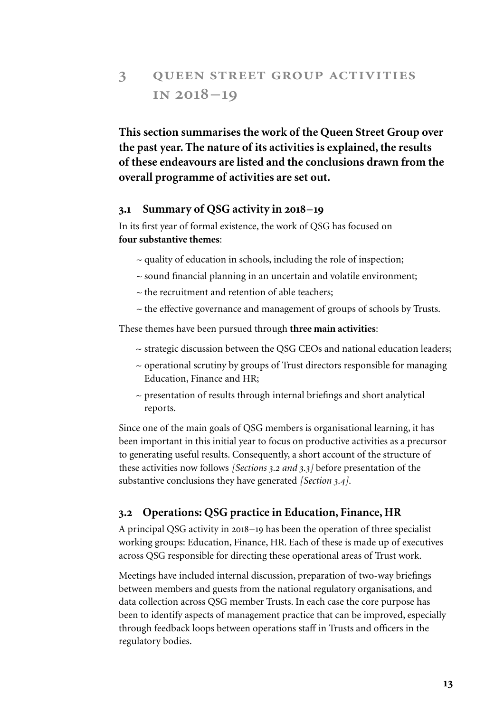#### **queen street group activities in 2018–19 3**

**This section summarises the work of the Queen Street Group over the past year. The nature of its activities is explained, the results of these endeavours are listed and the conclusions drawn from the overall programme of activities are set out.**

## **3.1 Summary of QSG activity in 2018–19**

In its first year of formal existence, the work of QSG has focused on **four substantive themes**:

- *~* quality of education in schools, including the role of inspection;
- *~* sound financial planning in an uncertain and volatile environment;
- *~* the recruitment and retention of able teachers;
- *~* the effective governance and management of groups of schools by Trusts.

These themes have been pursued through **three main activities**:

- ~ strategic discussion between the QSG CEOs and national education leaders;
- $\sim$  operational scrutiny by groups of Trust directors responsible for managing Education, Finance and HR;
- $\sim$  presentation of results through internal briefings and short analytical reports.

Since one of the main goals of QSG members is organisational learning, it has been important in this initial year to focus on productive activities as a precursor to generating useful results. Consequently, a short account of the structure of these activities now follows *[Sections 3.2 and 3.3]* before presentation of the substantive conclusions they have generated *[Section 3.4]*.

# **3.2 Operations: QSG practice in Education, Finance, HR**

A principal QSG activity in 2018–19 has been the operation of three specialist working groups: Education, Finance, HR. Each of these is made up of executives across QSG responsible for directing these operational areas of Trust work.

Meetings have included internal discussion, preparation of two-way briefings between members and guests from the national regulatory organisations, and data collection across QSG member Trusts. In each case the core purpose has been to identify aspects of management practice that can be improved, especially through feedback loops between operations staff in Trusts and officers in the regulatory bodies.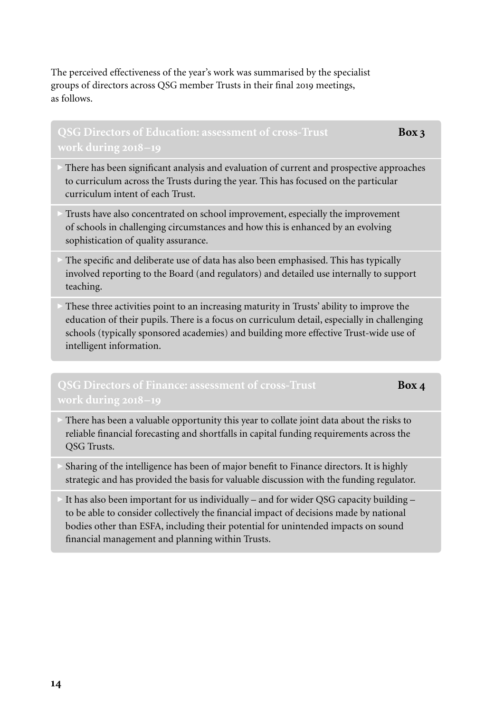The perceived effectiveness of the year's work was summarised by the specialist groups of directors across QSG member Trusts in their final 2019 meetings, as follows.

# **QSG Directors of Education: assessment of cross-Trust Box 3**

There has been significant analysis and evaluation of current and prospective approaches to curriculum across the Trusts during the year. This has focused on the particular curriculum intent of each Trust.

- Trusts have also concentrated on school improvement, especially the improvement of schools in challenging circumstances and how this is enhanced by an evolving sophistication of quality assurance.
- The specific and deliberate use of data has also been emphasised. This has typically involved reporting to the Board (and regulators) and detailed use internally to support teaching.
- These three activities point to an increasing maturity in Trusts' ability to improve the education of their pupils. There is a focus on curriculum detail, especially in challenging schools (typically sponsored academies) and building more effective Trust-wide use of intelligent information.

# **QSG Directors of Finance: assessment of cross-Trust Box 4**

- There has been a valuable opportunity this year to collate joint data about the risks to reliable financial forecasting and shortfalls in capital funding requirements across the QSG Trusts.
- Sharing of the intelligence has been of major benefit to Finance directors. It is highly strategic and has provided the basis for valuable discussion with the funding regulator.
- It has also been important for us individually and for wider QSG capacity building to be able to consider collectively the financial impact of decisions made by national bodies other than ESFA, including their potential for unintended impacts on sound financial management and planning within Trusts.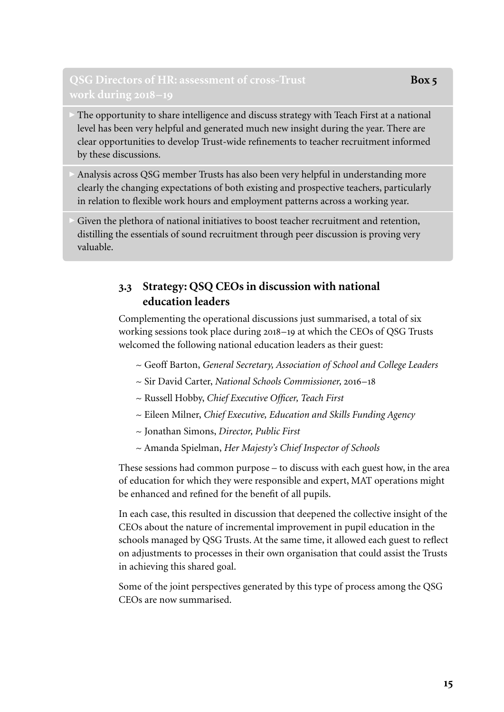# **QSG Directors of HR: assessment of cross-Trust Box 5**

The opportunity to share intelligence and discuss strategy with Teach First at a national level has been very helpful and generated much new insight during the year. There are clear opportunities to develop Trust-wide refinements to teacher recruitment informed by these discussions.

Analysis across QSG member Trusts has also been very helpful in understanding more clearly the changing expectations of both existing and prospective teachers, particularly in relation to flexible work hours and employment patterns across a working year.

Given the plethora of national initiatives to boost teacher recruitment and retention, distilling the essentials of sound recruitment through peer discussion is proving very valuable.

# **3.3 Strategy: QSQ CEOs in discussion with national education leaders**

Complementing the operational discussions just summarised, a total of six working sessions took place during 2018–19 at which the CEOs of QSG Trusts welcomed the following national education leaders as their guest:

- ~ Geoff Barton, *General Secretary, Association of School and College Leaders*
- ~ Sir David Carter, *National Schools Commissioner,* 2016–18
- ~ Russell Hobby, *Chief Executive Officer, Teach First*
- ~ Eileen Milner, *Chief Executive, Education and Skills Funding Agency*
- ~ Jonathan Simons, *Director, Public First*
- ~ Amanda Spielman, *Her Majesty's Chief Inspector of Schools*

These sessions had common purpose – to discuss with each guest how, in the area of education for which they were responsible and expert, MAT operations might be enhanced and refined for the benefit of all pupils.

In each case, this resulted in discussion that deepened the collective insight of the CEOs about the nature of incremental improvement in pupil education in the schools managed by QSG Trusts. At the same time, it allowed each guest to reflect on adjustments to processes in their own organisation that could assist the Trusts in achieving this shared goal.

Some of the joint perspectives generated by this type of process among the QSG CEOs are now summarised.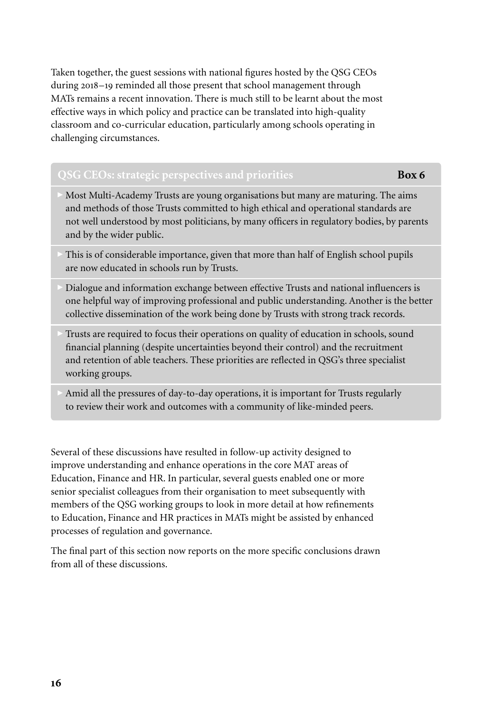Taken together, the guest sessions with national figures hosted by the QSG CEOs during 2018–19 reminded all those present that school management through MATs remains a recent innovation. There is much still to be learnt about the most effective ways in which policy and practice can be translated into high-quality classroom and co-curricular education, particularly among schools operating in challenging circumstances.

# **QSG CEOs: strategic perspectives and priorities Box 6**

- Most Multi-Academy Trusts are young organisations but many are maturing. The aims and methods of those Trusts committed to high ethical and operational standards are not well understood by most politicians, by many officers in regulatory bodies, by parents and by the wider public.
- This is of considerable importance, given that more than half of English school pupils are now educated in schools run by Trusts.
- Dialogue and information exchange between effective Trusts and national influencers is one helpful way of improving professional and public understanding. Another is the better collective dissemination of the work being done by Trusts with strong track records.
- Trusts are required to focus their operations on quality of education in schools, sound financial planning (despite uncertainties beyond their control) and the recruitment and retention of able teachers. These priorities are reflected in QSG's three specialist working groups.
- Amid all the pressures of day-to-day operations, it is important for Trusts regularly to review their work and outcomes with a community of like-minded peers.

Several of these discussions have resulted in follow-up activity designed to improve understanding and enhance operations in the core MAT areas of Education, Finance and HR. In particular, several guests enabled one or more senior specialist colleagues from their organisation to meet subsequently with members of the QSG working groups to look in more detail at how refinements to Education, Finance and HR practices in MATs might be assisted by enhanced processes of regulation and governance.

The final part of this section now reports on the more specific conclusions drawn from all of these discussions.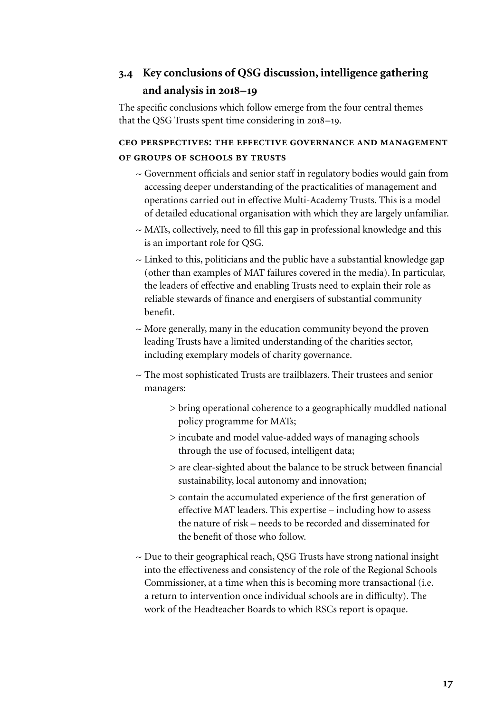# **3.4 Key conclusions of QSG discussion, intelligence gathering and analysis in 2018–19**

The specific conclusions which follow emerge from the four central themes that the QSG Trusts spent time considering in 2018–19.

# **ceo perspectives: the effective governance and management of groups of schools by trusts**

- $\sim$  Government officials and senior staff in regulatory bodies would gain from accessing deeper understanding of the practicalities of management and operations carried out in effective Multi-Academy Trusts. This is a model of detailed educational organisation with which they are largely unfamiliar.
- ~ MATs, collectively, need to fill this gap in professional knowledge and this is an important role for QSG.
- $\sim$  Linked to this, politicians and the public have a substantial knowledge gap (other than examples of MAT failures covered in the media). In particular, the leaders of effective and enabling Trusts need to explain their role as reliable stewards of finance and energisers of substantial community benefit.
- $\sim$  More generally, many in the education community beyond the proven leading Trusts have a limited understanding of the charities sector, including exemplary models of charity governance.
- ~ The most sophisticated Trusts are trailblazers. Their trustees and senior managers:
	- > bring operational coherence to a geographically muddled national policy programme for MATs;
	- > incubate and model value-added ways of managing schools through the use of focused, intelligent data;
	- > are clear-sighted about the balance to be struck between financial sustainability, local autonomy and innovation;
	- > contain the accumulated experience of the first generation of effective MAT leaders. This expertise – including how to assess the nature of risk – needs to be recorded and disseminated for the benefit of those who follow.
- $\sim$  Due to their geographical reach, QSG Trusts have strong national insight into the effectiveness and consistency of the role of the Regional Schools Commissioner, at a time when this is becoming more transactional (i.e. a return to intervention once individual schools are in difficulty). The work of the Headteacher Boards to which RSCs report is opaque.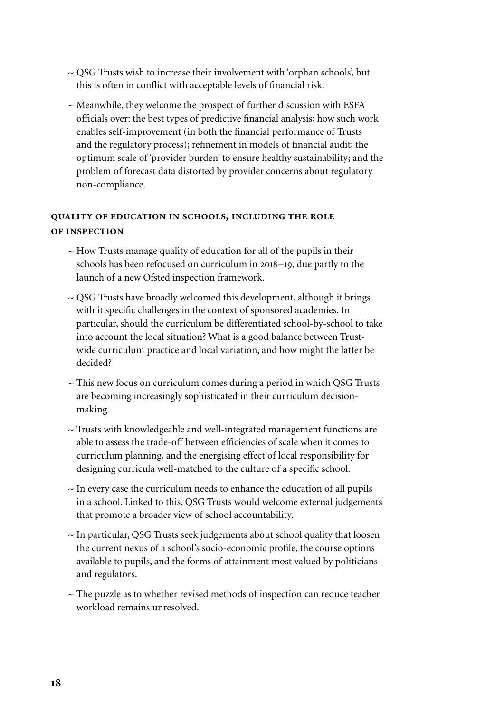- ~ QSG Trusts wish to increase their involvement with 'orphan schools', but this is often in conflict with acceptable levels of financial risk.
- $\sim$  Meanwhile, they welcome the prospect of further discussion with ESFA officials over: the best types of predictive financial analysis; how such work enables self-improvement (in both the financial performance of Trusts and the regulatory process); refinement in models of financial audit; the optimum scale of 'provider burden' to ensure healthy sustainability; and the problem of forecast data distorted by provider concerns about regulatory non-compliance.

# **quality of education in schools, including the role of inspection**

- $\sim$  How Trusts manage quality of education for all of the pupils in their schools has been refocused on curriculum in 2018–19, due partly to the launch of a new Ofsted inspection framework.
- $\sim$  QSG Trusts have broadly welcomed this development, although it brings with it specific challenges in the context of sponsored academies. In particular, should the curriculum be differentiated school-by-school to take into account the local situation? What is a good balance between Trustwide curriculum practice and local variation, and how might the latter be decided?
- $\sim$  This new focus on curriculum comes during a period in which QSG Trusts are becoming increasingly sophisticated in their curriculum decisionmaking.
- $\sim$  Trusts with knowledgeable and well-integrated management functions are able to assess the trade-off between efficiencies of scale when it comes to curriculum planning, and the energising effect of local responsibility for designing curricula well-matched to the culture of a specific school.
- $\sim$  In every case the curriculum needs to enhance the education of all pupils in a school. Linked to this, QSG Trusts would welcome external judgements that promote a broader view of school accountability.
- ~ In particular, QSG Trusts seek judgements about school quality that loosen the current nexus of a school's socio-economic profile, the course options available to pupils, and the forms of attainment most valued by politicians and regulators.
- $\sim$  The puzzle as to whether revised methods of inspection can reduce teacher workload remains unresolved.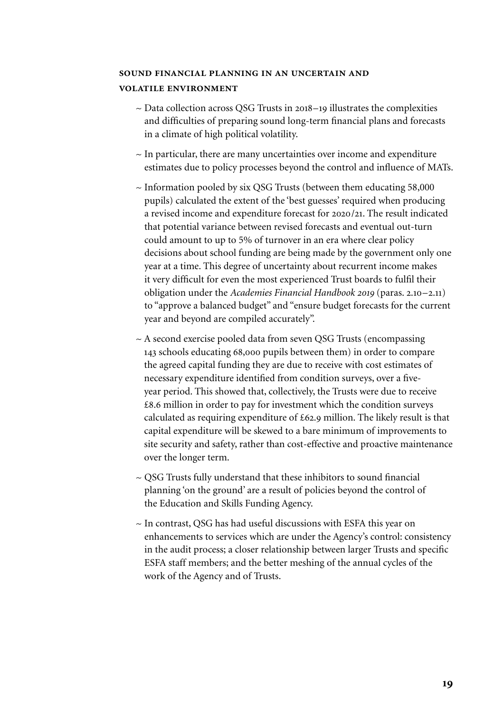## **sound financial planning in an uncertain and volatile environment**

- ~ Data collection across QSG Trusts in 2018–19 illustrates the complexities and difficulties of preparing sound long-term financial plans and forecasts in a climate of high political volatility.
- $\sim$  In particular, there are many uncertainties over income and expenditure estimates due to policy processes beyond the control and influence of MATs.
- $\sim$  Information pooled by six QSG Trusts (between them educating 58,000 pupils) calculated the extent of the 'best guesses' required when producing a revised income and expenditure forecast for 2020/21. The result indicated that potential variance between revised forecasts and eventual out-turn could amount to up to 5% of turnover in an era where clear policy decisions about school funding are being made by the government only one year at a time. This degree of uncertainty about recurrent income makes it very difficult for even the most experienced Trust boards to fulfil their obligation under the *Academies Financial Handbook 2019* (paras. 2.10–2.11) to "approve a balanced budget" and "ensure budget forecasts for the current year and beyond are compiled accurately".
- $\sim$  A second exercise pooled data from seven OSG Trusts (encompassing 143 schools educating 68,000 pupils between them) in order to compare the agreed capital funding they are due to receive with cost estimates of necessary expenditure identified from condition surveys, over a fiveyear period. This showed that, collectively, the Trusts were due to receive £8.6 million in order to pay for investment which the condition surveys calculated as requiring expenditure of £62.9 million. The likely result is that capital expenditure will be skewed to a bare minimum of improvements to site security and safety, rather than cost-effective and proactive maintenance over the longer term.
- ~ QSG Trusts fully understand that these inhibitors to sound financial planning 'on the ground' are a result of policies beyond the control of the Education and Skills Funding Agency.
- ~ In contrast, QSG has had useful discussions with ESFA this year on enhancements to services which are under the Agency's control: consistency in the audit process; a closer relationship between larger Trusts and specific ESFA staff members; and the better meshing of the annual cycles of the work of the Agency and of Trusts.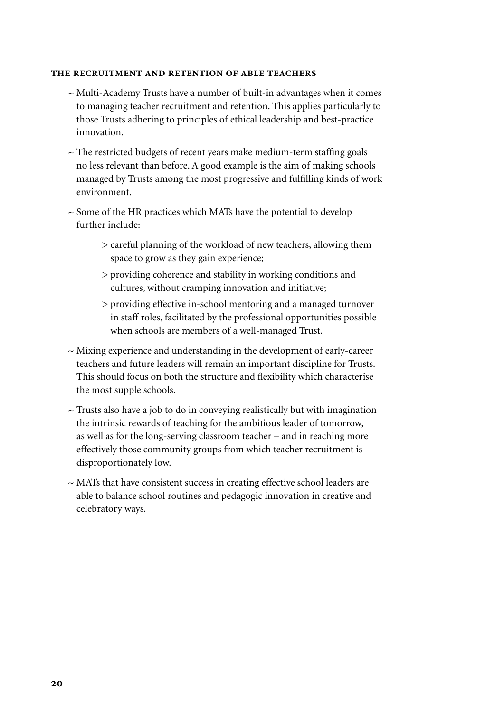#### **the recruitment and retention of able teachers**

- ~ Multi-Academy Trusts have a number of built-in advantages when it comes to managing teacher recruitment and retention. This applies particularly to those Trusts adhering to principles of ethical leadership and best-practice innovation.
- $\sim$  The restricted budgets of recent years make medium-term staffing goals no less relevant than before. A good example is the aim of making schools managed by Trusts among the most progressive and fulfilling kinds of work environment.
- $\sim$  Some of the HR practices which MATs have the potential to develop further include:
	- > careful planning of the workload of new teachers, allowing them space to grow as they gain experience;
	- > providing coherence and stability in working conditions and cultures, without cramping innovation and initiative;
	- > providing effective in-school mentoring and a managed turnover in staff roles, facilitated by the professional opportunities possible when schools are members of a well-managed Trust.
- $\sim$  Mixing experience and understanding in the development of early-career teachers and future leaders will remain an important discipline for Trusts. This should focus on both the structure and flexibility which characterise the most supple schools.
- $\sim$  Trusts also have a job to do in conveying realistically but with imagination the intrinsic rewards of teaching for the ambitious leader of tomorrow, as well as for the long-serving classroom teacher – and in reaching more effectively those community groups from which teacher recruitment is disproportionately low.
- $\sim$  MATs that have consistent success in creating effective school leaders are able to balance school routines and pedagogic innovation in creative and celebratory ways.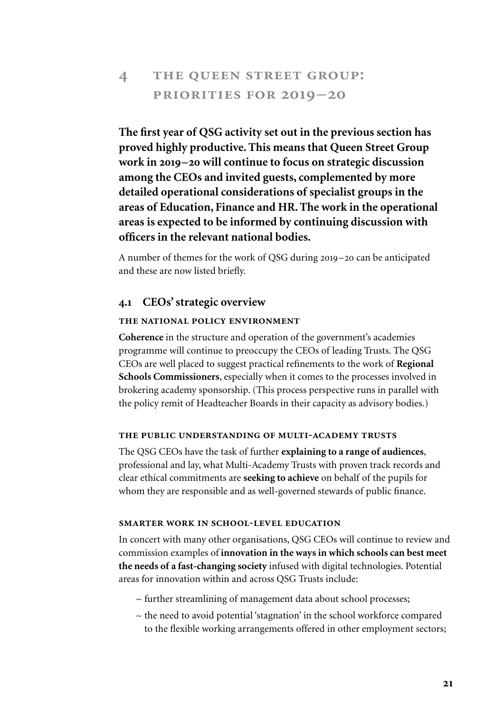#### **THE QUEEN STREET GROUP: priorities for 2019–20 4**

**The first year of QSG activity set out in the previous section has proved highly productive. This means that Queen Street Group work in 2019–20 will continue to focus on strategic discussion among the CEOs and invited guests, complemented by more detailed operational considerations of specialist groups in the areas of Education, Finance and HR. The work in the operational areas is expected to be informed by continuing discussion with officers in the relevant national bodies.** 

A number of themes for the work of QSG during 2019–20 can be anticipated and these are now listed briefly.

## **4.1 CEOs' strategic overview**

### **the national policy environment**

**Coherence** in the structure and operation of the government's academies programme will continue to preoccupy the CEOs of leading Trusts. The QSG CEOs are well placed to suggest practical refinements to the work of **Regional Schools Commissioners**, especially when it comes to the processes involved in brokering academy sponsorship. (This process perspective runs in parallel with the policy remit of Headteacher Boards in their capacity as advisory bodies.)

#### **the public understanding of multi-academy trusts**

The QSG CEOs have the task of further **explaining to a range of audiences**, professional and lay, what Multi-Academy Trusts with proven track records and clear ethical commitments are **seeking to achieve** on behalf of the pupils for whom they are responsible and as well-governed stewards of public finance.

#### **smarter work in school-level education**

In concert with many other organisations, QSG CEOs will continue to review and commission examples of **innovation in the ways in which schools can best meet the needs of a fast-changing society** infused with digital technologies. Potential areas for innovation within and across QSG Trusts include:

- ~ further streamlining of management data about school processes;
- ~ the need to avoid potential 'stagnation' in the school workforce compared to the flexible working arrangements offered in other employment sectors;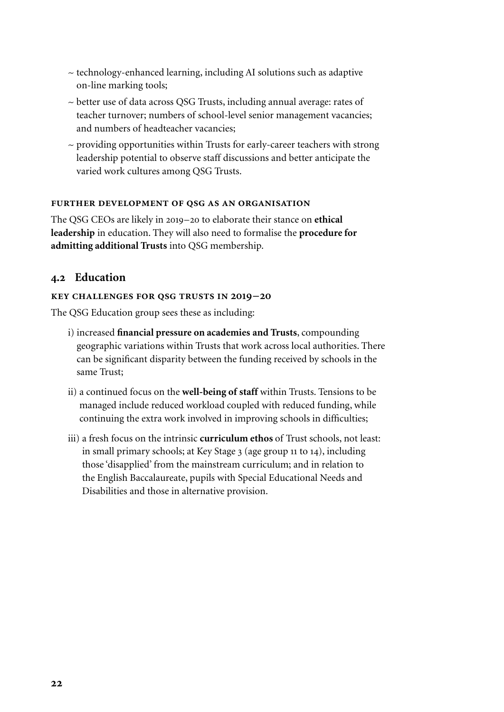- $\sim$  technology-enhanced learning, including AI solutions such as adaptive on-line marking tools;
- $\sim$  better use of data across QSG Trusts, including annual average: rates of teacher turnover; numbers of school-level senior management vacancies; and numbers of headteacher vacancies;
- $\sim$  providing opportunities within Trusts for early-career teachers with strong leadership potential to observe staff discussions and better anticipate the varied work cultures among QSG Trusts.

#### **further development of qsg as an organisation**

The QSG CEOs are likely in 2019–20 to elaborate their stance on **ethical leadership** in education. They will also need to formalise the **procedure for admitting additional Trusts** into QSG membership.

# **4.2 Education**

#### **key challenges for qsg trusts in 2019–20**

The QSG Education group sees these as including:

- i) increased **financial pressure on academies and Trusts**, compounding geographic variations within Trusts that work across local authorities. There can be significant disparity between the funding received by schools in the same Trust;
- ii) a continued focus on the **well-being of staff** within Trusts. Tensions to be managed include reduced workload coupled with reduced funding, while continuing the extra work involved in improving schools in difficulties;
- iii) a fresh focus on the intrinsic **curriculum ethos** of Trust schools, not least: in small primary schools; at Key Stage 3 (age group 11 to 14), including those 'disapplied' from the mainstream curriculum; and in relation to the English Baccalaureate, pupils with Special Educational Needs and Disabilities and those in alternative provision.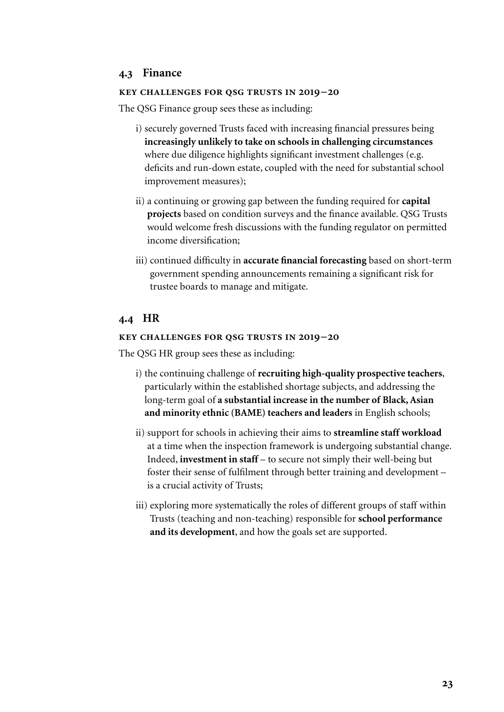# **4.3 Finance**

#### **key challenges for qsg trusts in 2019–20**

The QSG Finance group sees these as including:

- i) securely governed Trusts faced with increasing financial pressures being **increasingly unlikely to take on schools in challenging circumstances** where due diligence highlights significant investment challenges (e.g. deficits and run-down estate, coupled with the need for substantial school improvement measures);
- ii) a continuing or growing gap between the funding required for **capital projects** based on condition surveys and the finance available. QSG Trusts would welcome fresh discussions with the funding regulator on permitted income diversification;
- iii) continued difficulty in **accurate financial forecasting** based on short-term government spending announcements remaining a significant risk for trustee boards to manage and mitigate.

# **4.4 HR**

## **key challenges for qsg trusts in 2019–20**

The QSG HR group sees these as including:

- i) the continuing challenge of **recruiting high-quality prospective teachers**, particularly within the established shortage subjects, and addressing the long-term goal of **a substantial increase in the number of Black, Asian and minority ethnic (BAME) teachers and leaders** in English schools;
- ii) support for schools in achieving their aims to **streamline staff workload** at a time when the inspection framework is undergoing substantial change. Indeed, **investment in staff** – to secure not simply their well-being but foster their sense of fulfilment through better training and development – is a crucial activity of Trusts;
- iii) exploring more systematically the roles of different groups of staff within Trusts (teaching and non-teaching) responsible for **school performance and its development**, and how the goals set are supported.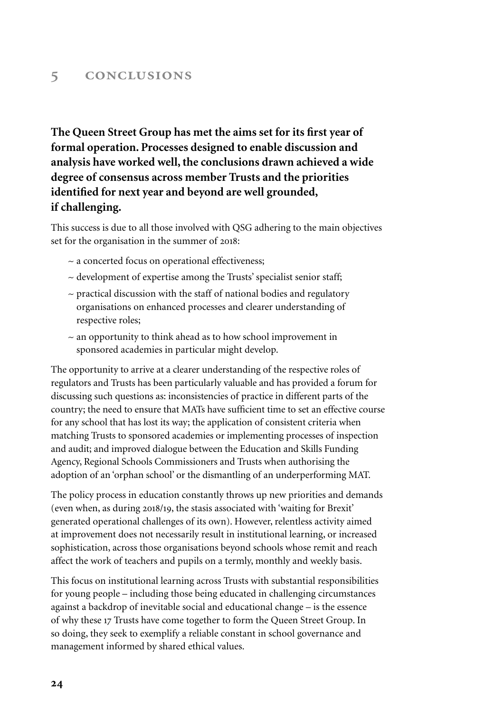# **5 conclusions**

**The Queen Street Group has met the aims set for its first year of formal operation. Processes designed to enable discussion and analysis have worked well, the conclusions drawn achieved a wide degree of consensus across member Trusts and the priorities identified for next year and beyond are well grounded, if challenging.**

This success is due to all those involved with QSG adhering to the main objectives set for the organisation in the summer of 2018:

- ~ a concerted focus on operational effectiveness;
- $\sim$  development of expertise among the Trusts' specialist senior staff;
- $\sim$  practical discussion with the staff of national bodies and regulatory organisations on enhanced processes and clearer understanding of respective roles;
- $\sim$  an opportunity to think ahead as to how school improvement in sponsored academies in particular might develop.

The opportunity to arrive at a clearer understanding of the respective roles of regulators and Trusts has been particularly valuable and has provided a forum for discussing such questions as: inconsistencies of practice in different parts of the country; the need to ensure that MATs have sufficient time to set an effective course for any school that has lost its way; the application of consistent criteria when matching Trusts to sponsored academies or implementing processes of inspection and audit; and improved dialogue between the Education and Skills Funding Agency, Regional Schools Commissioners and Trusts when authorising the adoption of an 'orphan school' or the dismantling of an underperforming MAT.

The policy process in education constantly throws up new priorities and demands (even when, as during 2018/19, the stasis associated with 'waiting for Brexit' generated operational challenges of its own). However, relentless activity aimed at improvement does not necessarily result in institutional learning, or increased sophistication, across those organisations beyond schools whose remit and reach affect the work of teachers and pupils on a termly, monthly and weekly basis.

This focus on institutional learning across Trusts with substantial responsibilities for young people – including those being educated in challenging circumstances against a backdrop of inevitable social and educational change – is the essence of why these 17 Trusts have come together to form the Queen Street Group. In so doing, they seek to exemplify a reliable constant in school governance and management informed by shared ethical values.